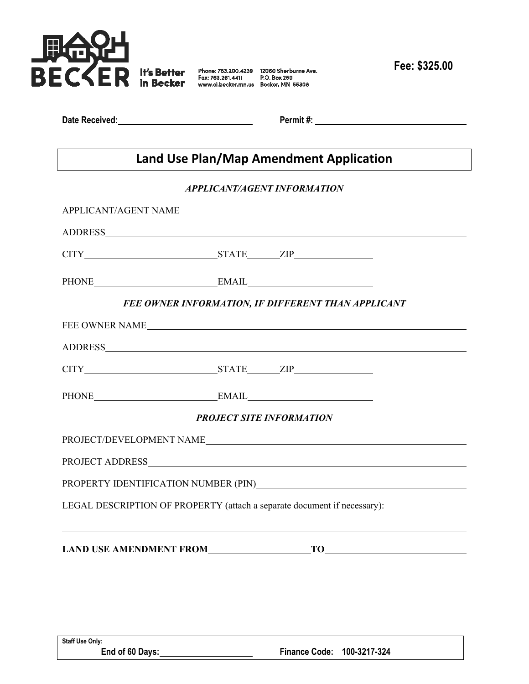

**Date Received:** Permit #:

## **Land Use Plan/Map Amendment Application**

## *APPLICANT/AGENT INFORMATION*

| APPLICANT/AGENT NAME                                                     |  |  |  |
|--------------------------------------------------------------------------|--|--|--|
|                                                                          |  |  |  |
|                                                                          |  |  |  |
| PHONE EMAIL EMAIL                                                        |  |  |  |
| FEE OWNER INFORMATION, IF DIFFERENT THAN APPLICANT                       |  |  |  |
|                                                                          |  |  |  |
|                                                                          |  |  |  |
|                                                                          |  |  |  |
| PHONE EMAIL EMAIL                                                        |  |  |  |
| <b>PROJECT SITE INFORMATION</b>                                          |  |  |  |
| PROJECT/DEVELOPMENT NAME                                                 |  |  |  |
|                                                                          |  |  |  |
|                                                                          |  |  |  |
| LEGAL DESCRIPTION OF PROPERTY (attach a separate document if necessary): |  |  |  |
| LAND USE AMENDMENT FROM TO TO                                            |  |  |  |